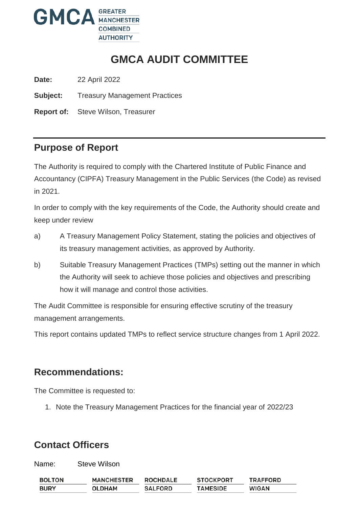

# **GMCA AUDIT COMMITTEE**

**Date:** 22 April 2022

**Subject:** Treasury Management Practices

**Report of:** Steve Wilson, Treasurer

### **Purpose of Report**

The Authority is required to comply with the Chartered Institute of Public Finance and Accountancy (CIPFA) Treasury Management in the Public Services (the Code) as revised in 2021.

In order to comply with the key requirements of the Code, the Authority should create and keep under review

- a) A Treasury Management Policy Statement, stating the policies and objectives of its treasury management activities, as approved by Authority.
- b) Suitable Treasury Management Practices (TMPs) setting out the manner in which the Authority will seek to achieve those policies and objectives and prescribing how it will manage and control those activities.

The Audit Committee is responsible for ensuring effective scrutiny of the treasury management arrangements.

This report contains updated TMPs to reflect service structure changes from 1 April 2022.

#### **Recommendations:**

The Committee is requested to:

1. Note the Treasury Management Practices for the financial year of 2022/23

#### **Contact Officers**

Name: Steve Wilson

| <b>BOLTON</b> | <b>MANCHESTER</b> | <b>ROCHDALE</b> | <b>STOCKPORT</b> | <b>TRAFFORD</b> |
|---------------|-------------------|-----------------|------------------|-----------------|
| <b>BURY</b>   | <b>OLDHAM</b>     | <b>SALFORD</b>  | <b>TAMESIDE</b>  | <b>WIGAN</b>    |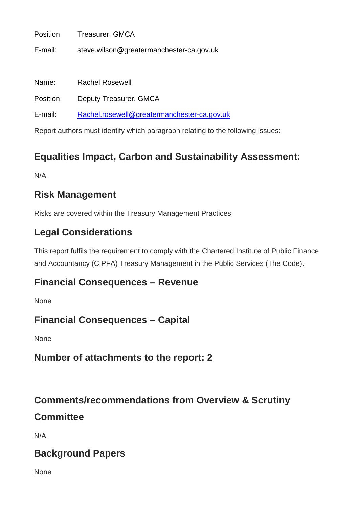E-mail: steve.wilson@greatermanchester-ca.gov.uk

Name: Rachel Rosewell

Position: Deputy Treasurer, GMCA

E-mail: [Rachel.rosewell@greatermanchester-ca.gov.uk](mailto:Rachel.rosewell@greatermanchester-ca.gov.uk)

Report authors must identify which paragraph relating to the following issues:

## **Equalities Impact, Carbon and Sustainability Assessment:**

N/A

### **Risk Management**

Risks are covered within the Treasury Management Practices

### **Legal Considerations**

This report fulfils the requirement to comply with the Chartered Institute of Public Finance and Accountancy (CIPFA) Treasury Management in the Public Services (The Code).

#### **Financial Consequences – Revenue**

None

#### **Financial Consequences – Capital**

None

#### **Number of attachments to the report: 2**

### **Comments/recommendations from Overview & Scrutiny**

#### **Committee**

N/A

#### **Background Papers**

None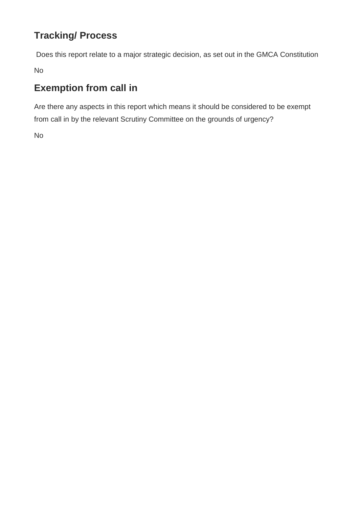# **Tracking/ Process**

Does this report relate to a major strategic decision, as set out in the GMCA Constitution

No

# **Exemption from call in**

Are there any aspects in this report which means it should be considered to be exempt from call in by the relevant Scrutiny Committee on the grounds of urgency?

No